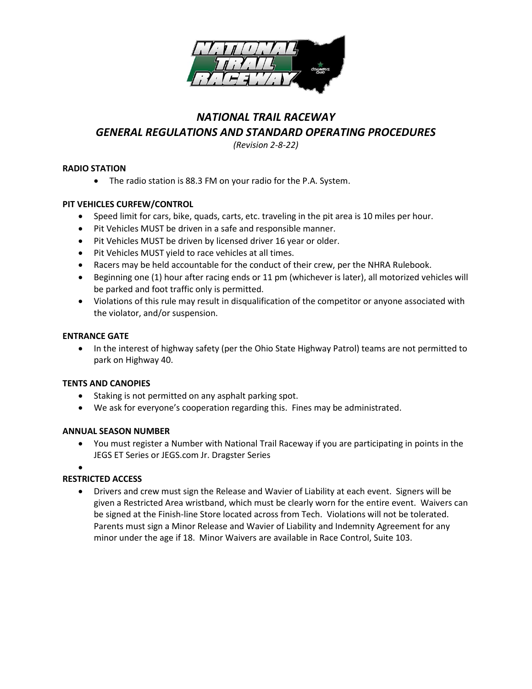

# *NATIONAL TRAIL RACEWAY GENERAL REGULATIONS AND STANDARD OPERATING PROCEDURES*

*(Revision 2-8-22)*

# **RADIO STATION**

• The radio station is 88.3 FM on your radio for the P.A. System.

# **PIT VEHICLES CURFEW/CONTROL**

- Speed limit for cars, bike, quads, carts, etc. traveling in the pit area is 10 miles per hour.
- Pit Vehicles MUST be driven in a safe and responsible manner.
- Pit Vehicles MUST be driven by licensed driver 16 year or older.
- Pit Vehicles MUST yield to race vehicles at all times.
- Racers may be held accountable for the conduct of their crew, per the NHRA Rulebook.
- Beginning one (1) hour after racing ends or 11 pm (whichever is later), all motorized vehicles will be parked and foot traffic only is permitted.
- Violations of this rule may result in disqualification of the competitor or anyone associated with the violator, and/or suspension.

## **ENTRANCE GATE**

• In the interest of highway safety (per the Ohio State Highway Patrol) teams are not permitted to park on Highway 40.

## **TENTS AND CANOPIES**

- Staking is not permitted on any asphalt parking spot.
- We ask for everyone's cooperation regarding this. Fines may be administrated.

## **ANNUAL SEASON NUMBER**

- You must register a Number with National Trail Raceway if you are participating in points in the JEGS ET Series or JEGS.com Jr. Dragster Series
- •

# **RESTRICTED ACCESS**

• Drivers and crew must sign the Release and Wavier of Liability at each event. Signers will be given a Restricted Area wristband, which must be clearly worn for the entire event. Waivers can be signed at the Finish-line Store located across from Tech. Violations will not be tolerated. Parents must sign a Minor Release and Wavier of Liability and Indemnity Agreement for any minor under the age if 18. Minor Waivers are available in Race Control, Suite 103.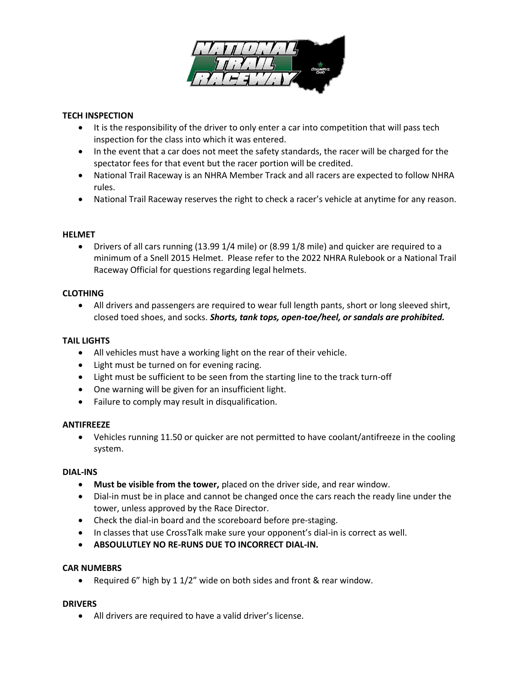

## **TECH INSPECTION**

- It is the responsibility of the driver to only enter a car into competition that will pass tech inspection for the class into which it was entered.
- In the event that a car does not meet the safety standards, the racer will be charged for the spectator fees for that event but the racer portion will be credited.
- National Trail Raceway is an NHRA Member Track and all racers are expected to follow NHRA rules.
- National Trail Raceway reserves the right to check a racer's vehicle at anytime for any reason.

## **HELMET**

• Drivers of all cars running (13.99 1/4 mile) or (8.99 1/8 mile) and quicker are required to a minimum of a Snell 2015 Helmet. Please refer to the 2022 NHRA Rulebook or a National Trail Raceway Official for questions regarding legal helmets.

# **CLOTHING**

• All drivers and passengers are required to wear full length pants, short or long sleeved shirt, closed toed shoes, and socks. *Shorts, tank tops, open-toe/heel, or sandals are prohibited.*

# **TAIL LIGHTS**

- All vehicles must have a working light on the rear of their vehicle.
- Light must be turned on for evening racing.
- Light must be sufficient to be seen from the starting line to the track turn-off
- One warning will be given for an insufficient light.
- Failure to comply may result in disqualification.

## **ANTIFREEZE**

• Vehicles running 11.50 or quicker are not permitted to have coolant/antifreeze in the cooling system.

#### **DIAL-INS**

- **Must be visible from the tower,** placed on the driver side, and rear window.
- Dial-in must be in place and cannot be changed once the cars reach the ready line under the tower, unless approved by the Race Director.
- Check the dial-in board and the scoreboard before pre-staging.
- In classes that use CrossTalk make sure your opponent's dial-in is correct as well.
- **ABSOULUTLEY NO RE-RUNS DUE TO INCORRECT DIAL-IN.**

## **CAR NUMEBRS**

• Required 6" high by 1 1/2" wide on both sides and front & rear window.

## **DRIVERS**

• All drivers are required to have a valid driver's license.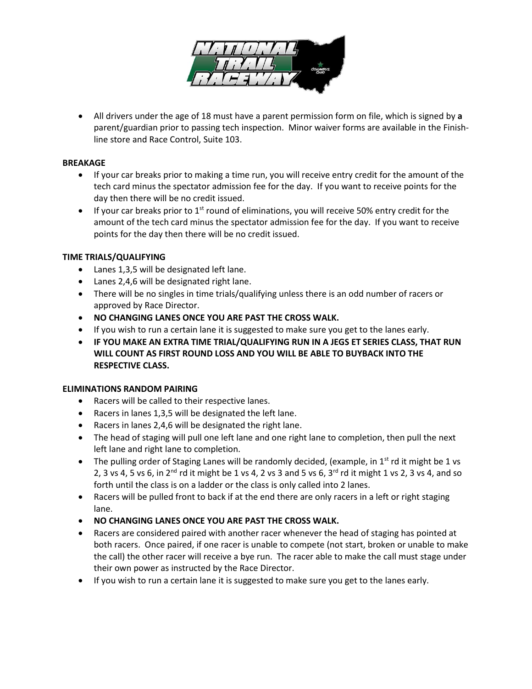

• All drivers under the age of 18 must have a parent permission form on file, which is signed by **a**  parent/guardian prior to passing tech inspection. Minor waiver forms are available in the Finishline store and Race Control, Suite 103.

## **BREAKAGE**

- If your car breaks prior to making a time run, you will receive entry credit for the amount of the tech card minus the spectator admission fee for the day. If you want to receive points for the day then there will be no credit issued.
- $\bullet$  If your car breaks prior to 1<sup>st</sup> round of eliminations, you will receive 50% entry credit for the amount of the tech card minus the spectator admission fee for the day. If you want to receive points for the day then there will be no credit issued.

#### **TIME TRIALS/QUALIFYING**

- Lanes 1,3,5 will be designated left lane.
- Lanes 2,4,6 will be designated right lane.
- There will be no singles in time trials/qualifying unless there is an odd number of racers or approved by Race Director.
- **NO CHANGING LANES ONCE YOU ARE PAST THE CROSS WALK.**
- If you wish to run a certain lane it is suggested to make sure you get to the lanes early.
- **IF YOU MAKE AN EXTRA TIME TRIAL/QUALIFYING RUN IN A JEGS ET SERIES CLASS, THAT RUN WILL COUNT AS FIRST ROUND LOSS AND YOU WILL BE ABLE TO BUYBACK INTO THE RESPECTIVE CLASS.**

#### **ELIMINATIONS RANDOM PAIRING**

- Racers will be called to their respective lanes.
- Racers in lanes 1,3,5 will be designated the left lane.
- Racers in lanes 2,4,6 will be designated the right lane.
- The head of staging will pull one left lane and one right lane to completion, then pull the next left lane and right lane to completion.
- The pulling order of Staging Lanes will be randomly decided, (example, in  $1<sup>st</sup>$  rd it might be 1 vs 2, 3 vs 4, 5 vs 6, in 2<sup>nd</sup> rd it might be 1 vs 4, 2 vs 3 and 5 vs 6, 3<sup>rd</sup> rd it might 1 vs 2, 3 vs 4, and so forth until the class is on a ladder or the class is only called into 2 lanes.
- Racers will be pulled front to back if at the end there are only racers in a left or right staging lane.
- **NO CHANGING LANES ONCE YOU ARE PAST THE CROSS WALK.**
- Racers are considered paired with another racer whenever the head of staging has pointed at both racers. Once paired, if one racer is unable to compete (not start, broken or unable to make the call) the other racer will receive a bye run. The racer able to make the call must stage under their own power as instructed by the Race Director.
- If you wish to run a certain lane it is suggested to make sure you get to the lanes early.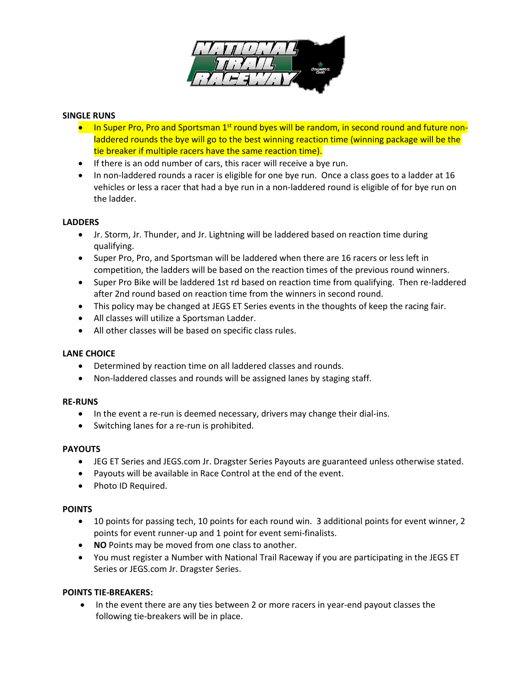

## **SINGLE RUNS**

- In Super Pro, Pro and Sportsman 1<sup>st</sup> round byes will be random, in second round and future nonladdered rounds the bye will go to the best winning reaction time (winning package will be the tie breaker if multiple racers have the same reaction time).
- If there is an odd number of cars, this racer will receive a bye run.
- In non-laddered rounds a racer is eligible for one bye run. Once a class goes to a ladder at 16 vehicles or less a racer that had a bye run in a non-laddered round is eligible of for bye run on the ladder.

# **LADDERS**

- Jr. Storm, Jr. Thunder, and Jr. Lightning will be laddered based on reaction time during qualifying.
- Super Pro, Pro, and Sportsman will be laddered when there are 16 racers or less left in competition, the ladders will be based on the reaction times of the previous round winners.
- Super Pro Bike will be laddered 1st rd based on reaction time from qualifying. Then re-laddered after 2nd round based on reaction time from the winners in second round.
- This policy may be changed at JEGS ET Series events in the thoughts of keep the racing fair.
- All classes will utilize a Sportsman Ladder.
- All other classes will be based on specific class rules.

## **LANE CHOICE**

- Determined by reaction time on all laddered classes and rounds.
- Non-laddered classes and rounds will be assigned lanes by staging staff.

## **RE-RUNS**

- In the event a re-run is deemed necessary, drivers may change their dial-ins.
- Switching lanes for a re-run is prohibited.

## **PAYOUTS**

- JEG ET Series and JEGS.com Jr. Dragster Series Payouts are guaranteed unless otherwise stated.
- Payouts will be available in Race Control at the end of the event.
- Photo ID Required.

## **POINTS**

- 10 points for passing tech, 10 points for each round win. 3 additional points for event winner, 2 points for event runner-up and 1 point for event semi-finalists.
- **NO** Points may be moved from one class to another.
- You must register a Number with National Trail Raceway if you are participating in the JEGS ET Series or JEGS.com Jr. Dragster Series.

## **POINTS TIE-BREAKERS:**

• In the event there are any ties between 2 or more racers in year-end payout classes the following tie-breakers will be in place.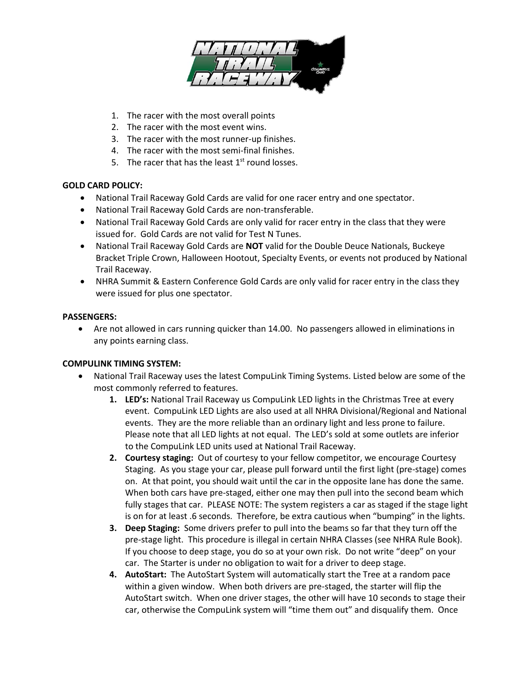

- 1. The racer with the most overall points
- 2. The racer with the most event wins.
- 3. The racer with the most runner-up finishes.
- 4. The racer with the most semi-final finishes.
- 5. The racer that has the least  $1<sup>st</sup>$  round losses.

## **GOLD CARD POLICY:**

- National Trail Raceway Gold Cards are valid for one racer entry and one spectator.
- National Trail Raceway Gold Cards are non-transferable.
- National Trail Raceway Gold Cards are only valid for racer entry in the class that they were issued for. Gold Cards are not valid for Test N Tunes.
- National Trail Raceway Gold Cards are **NOT** valid for the Double Deuce Nationals, Buckeye Bracket Triple Crown, Halloween Hootout, Specialty Events, or events not produced by National Trail Raceway.
- NHRA Summit & Eastern Conference Gold Cards are only valid for racer entry in the class they were issued for plus one spectator.

## **PASSENGERS:**

• Are not allowed in cars running quicker than 14.00. No passengers allowed in eliminations in any points earning class.

## **COMPULINK TIMING SYSTEM:**

- National Trail Raceway uses the latest CompuLink Timing Systems. Listed below are some of the most commonly referred to features.
	- **1. LED's:** National Trail Raceway us CompuLink LED lights in the Christmas Tree at every event. CompuLink LED Lights are also used at all NHRA Divisional/Regional and National events. They are the more reliable than an ordinary light and less prone to failure. Please note that all LED lights at not equal. The LED's sold at some outlets are inferior to the CompuLink LED units used at National Trail Raceway.
	- **2. Courtesy staging:** Out of courtesy to your fellow competitor, we encourage Courtesy Staging. As you stage your car, please pull forward until the first light (pre-stage) comes on. At that point, you should wait until the car in the opposite lane has done the same. When both cars have pre-staged, either one may then pull into the second beam which fully stages that car. PLEASE NOTE: The system registers a car as staged if the stage light is on for at least .6 seconds. Therefore, be extra cautious when "bumping" in the lights.
	- **3. Deep Staging:** Some drivers prefer to pull into the beams so far that they turn off the pre-stage light. This procedure is illegal in certain NHRA Classes (see NHRA Rule Book). If you choose to deep stage, you do so at your own risk. Do not write "deep" on your car. The Starter is under no obligation to wait for a driver to deep stage.
	- **4. AutoStart:** The AutoStart System will automatically start the Tree at a random pace within a given window. When both drivers are pre-staged, the starter will flip the AutoStart switch. When one driver stages, the other will have 10 seconds to stage their car, otherwise the CompuLink system will "time them out" and disqualify them. Once